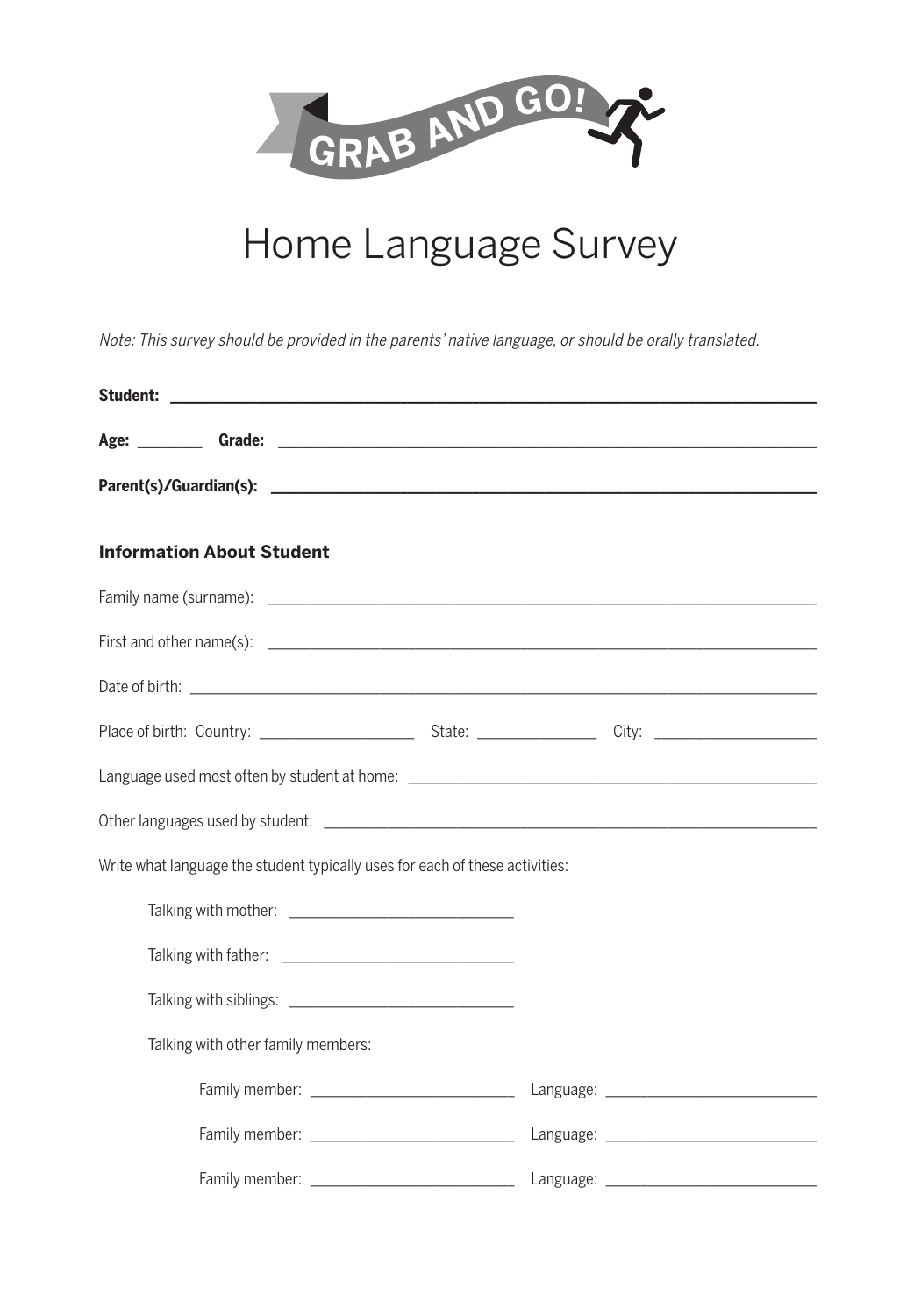

## Home Language Survey

Note: This survey should be provided in the parents' native language, or should be orally translated.

| <b>Information About Student</b>                                                                                                                                                                                               |  |  |
|--------------------------------------------------------------------------------------------------------------------------------------------------------------------------------------------------------------------------------|--|--|
|                                                                                                                                                                                                                                |  |  |
|                                                                                                                                                                                                                                |  |  |
|                                                                                                                                                                                                                                |  |  |
|                                                                                                                                                                                                                                |  |  |
|                                                                                                                                                                                                                                |  |  |
|                                                                                                                                                                                                                                |  |  |
| Write what language the student typically uses for each of these activities:                                                                                                                                                   |  |  |
| Talking with mother: The contract of the contract of the contract of the contract of the contract of the contract of the contract of the contract of the contract of the contract of the contract of the contract of the contr |  |  |
|                                                                                                                                                                                                                                |  |  |
|                                                                                                                                                                                                                                |  |  |
| Talking with other family members:                                                                                                                                                                                             |  |  |
|                                                                                                                                                                                                                                |  |  |
|                                                                                                                                                                                                                                |  |  |
|                                                                                                                                                                                                                                |  |  |